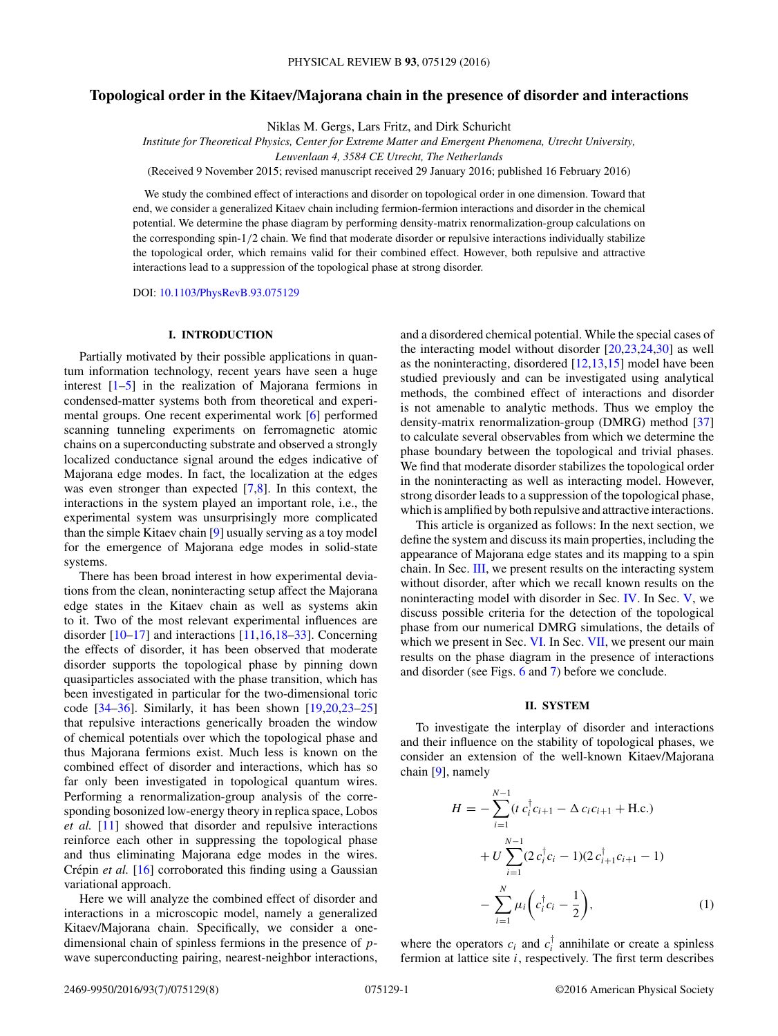# <span id="page-0-0"></span>**Topological order in the Kitaev/Majorana chain in the presence of disorder and interactions**

Niklas M. Gergs, Lars Fritz, and Dirk Schuricht

*Institute for Theoretical Physics, Center for Extreme Matter and Emergent Phenomena, Utrecht University,*

*Leuvenlaan 4, 3584 CE Utrecht, The Netherlands*

(Received 9 November 2015; revised manuscript received 29 January 2016; published 16 February 2016)

We study the combined effect of interactions and disorder on topological order in one dimension. Toward that end, we consider a generalized Kitaev chain including fermion-fermion interactions and disorder in the chemical potential. We determine the phase diagram by performing density-matrix renormalization-group calculations on the corresponding spin-1*/*2 chain. We find that moderate disorder or repulsive interactions individually stabilize the topological order, which remains valid for their combined effect. However, both repulsive and attractive interactions lead to a suppression of the topological phase at strong disorder.

DOI: [10.1103/PhysRevB.93.075129](http://dx.doi.org/10.1103/PhysRevB.93.075129)

#### **I. INTRODUCTION**

Partially motivated by their possible applications in quantum information technology, recent years have seen a huge interest [\[1–5\]](#page-6-0) in the realization of Majorana fermions in condensed-matter systems both from theoretical and experimental groups. One recent experimental work [\[6\]](#page-7-0) performed scanning tunneling experiments on ferromagnetic atomic chains on a superconducting substrate and observed a strongly localized conductance signal around the edges indicative of Majorana edge modes. In fact, the localization at the edges was even stronger than expected [\[7,8\]](#page-7-0). In this context, the interactions in the system played an important role, i.e., the experimental system was unsurprisingly more complicated than the simple Kitaev chain [\[9\]](#page-7-0) usually serving as a toy model for the emergence of Majorana edge modes in solid-state systems.

There has been broad interest in how experimental deviations from the clean, noninteracting setup affect the Majorana edge states in the Kitaev chain as well as systems akin to it. Two of the most relevant experimental influences are disorder [\[10–17\]](#page-7-0) and interactions [\[11,16,18–33\]](#page-7-0). Concerning the effects of disorder, it has been observed that moderate disorder supports the topological phase by pinning down quasiparticles associated with the phase transition, which has been investigated in particular for the two-dimensional toric code  $[34-36]$ . Similarly, it has been shown  $[19,20,23-25]$ that repulsive interactions generically broaden the window of chemical potentials over which the topological phase and thus Majorana fermions exist. Much less is known on the combined effect of disorder and interactions, which has so far only been investigated in topological quantum wires. Performing a renormalization-group analysis of the corresponding bosonized low-energy theory in replica space, Lobos *et al.* [\[11\]](#page-7-0) showed that disorder and repulsive interactions reinforce each other in suppressing the topological phase and thus eliminating Majorana edge modes in the wires. Crépin et al. [\[16\]](#page-7-0) corroborated this finding using a Gaussian variational approach.

Here we will analyze the combined effect of disorder and interactions in a microscopic model, namely a generalized Kitaev/Majorana chain. Specifically, we consider a onedimensional chain of spinless fermions in the presence of *p*wave superconducting pairing, nearest-neighbor interactions, and a disordered chemical potential. While the special cases of the interacting model without disorder [\[20,23,24,30\]](#page-7-0) as well as the noninteracting, disordered [\[12,13,15\]](#page-7-0) model have been studied previously and can be investigated using analytical methods, the combined effect of interactions and disorder is not amenable to analytic methods. Thus we employ the density-matrix renormalization-group (DMRG) method [\[37\]](#page-7-0) to calculate several observables from which we determine the phase boundary between the topological and trivial phases. We find that moderate disorder stabilizes the topological order in the noninteracting as well as interacting model. However, strong disorder leads to a suppression of the topological phase, which is amplified by both repulsive and attractive interactions.

This article is organized as follows: In the next section, we define the system and discuss its main properties, including the appearance of Majorana edge states and its mapping to a spin chain. In Sec. [III,](#page-1-0) we present results on the interacting system without disorder, after which we recall known results on the noninteracting model with disorder in Sec. [IV.](#page-2-0) In Sec. [V,](#page-2-0) we discuss possible criteria for the detection of the topological phase from our numerical DMRG simulations, the details of which we present in Sec. [VI.](#page-4-0) In Sec. [VII,](#page-5-0) we present our main results on the phase diagram in the presence of interactions and disorder (see Figs. [6](#page-5-0) and [7\)](#page-5-0) before we conclude.

## **II. SYSTEM**

To investigate the interplay of disorder and interactions and their influence on the stability of topological phases, we consider an extension of the well-known Kitaev/Majorana chain [\[9\]](#page-7-0), namely

$$
H = -\sum_{i=1}^{N-1} (t c_i^{\dagger} c_{i+1} - \Delta c_i c_{i+1} + \text{H.c.})
$$
  
+  $U \sum_{i=1}^{N-1} (2 c_i^{\dagger} c_i - 1)(2 c_{i+1}^{\dagger} c_{i+1} - 1)$   
-  $\sum_{i=1}^{N} \mu_i \left( c_i^{\dagger} c_i - \frac{1}{2} \right),$  (1)

where the operators  $c_i$  and  $c_i^{\dagger}$  annihilate or create a spinless fermion at lattice site *i*, respectively. The first term describes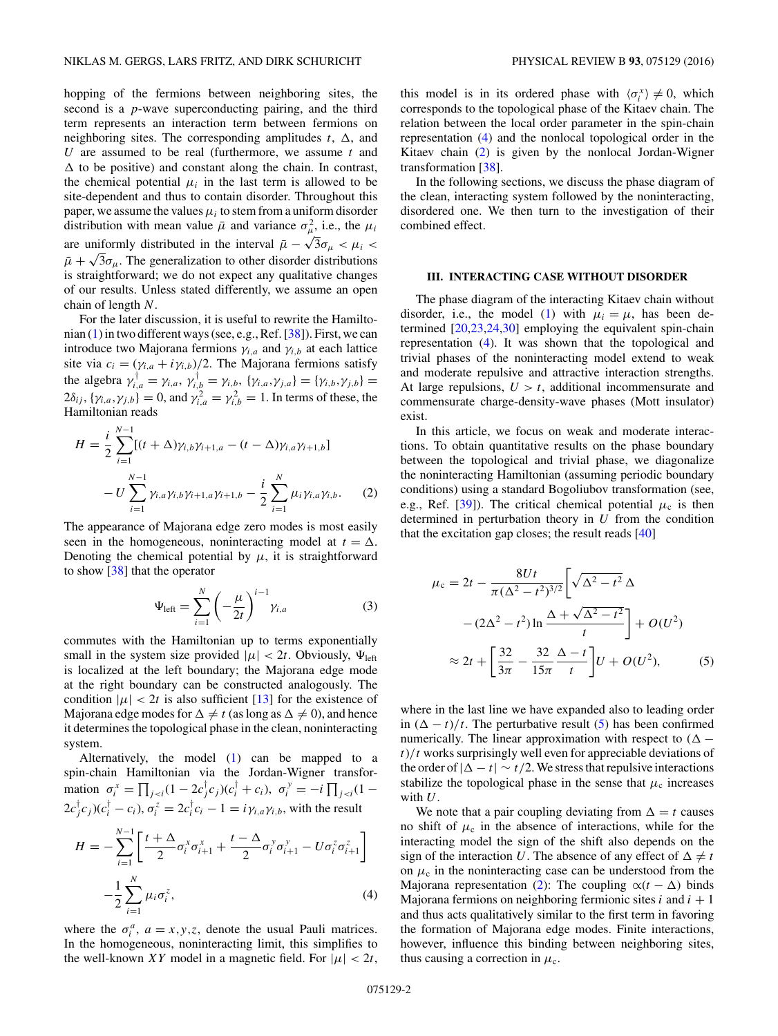<span id="page-1-0"></span>hopping of the fermions between neighboring sites, the second is a *p*-wave superconducting pairing, and the third term represents an interaction term between fermions on neighboring sites. The corresponding amplitudes  $t$ ,  $\Delta$ , and *U* are assumed to be real (furthermore, we assume *t* and *-* to be positive) and constant along the chain. In contrast, the chemical potential  $\mu_i$  in the last term is allowed to be site-dependent and thus to contain disorder. Throughout this paper, we assume the values  $\mu_i$  to stem from a uniform disorder distribution with mean value  $\bar{\mu}$  and variance  $\sigma_{\mu}^2$ , i.e., the  $\mu_i$ are uniformly distributed in the interval  $\bar{\mu} - \sqrt{3}\sigma_{\mu} < \mu_i <$  $\bar{\mu} + \sqrt{3}\sigma_{\mu}$ . The generalization to other disorder distributions is straightforward; we do not expect any qualitative changes of our results. Unless stated differently, we assume an open chain of length *N*.

For the later discussion, it is useful to rewrite the Hamiltonian [\(1\)](#page-0-0) in two different ways (see, e.g., Ref. [\[38\]](#page-7-0)). First, we can introduce two Majorana fermions  $\gamma_{i,a}$  and  $\gamma_{i,b}$  at each lattice site via  $c_i = (\gamma_{i,a} + i\gamma_{i,b})/2$ . The Majorana fermions satisfy the algebra  $\gamma_{i,a}^{\dagger} = \gamma_{i,a}, \gamma_{i,b}^{\dagger} = \gamma_{i,b}, \{\gamma_{i,a}, \gamma_{j,a}\} = \{\gamma_{i,b}, \gamma_{j,b}\} =$  $2\delta_{ij}$ ,  $\{\gamma_{i,a}, \gamma_{j,b}\} = 0$ , and  $\gamma_{i,a}^2 = \gamma_{i,b}^2 = 1$ . In terms of these, the Hamiltonian reads

$$
H = \frac{i}{2} \sum_{i=1}^{N-1} [(t + \Delta) \gamma_{i,b} \gamma_{i+1,a} - (t - \Delta) \gamma_{i,a} \gamma_{i+1,b}]
$$
  

$$
- U \sum_{i=1}^{N-1} \gamma_{i,a} \gamma_{i,b} \gamma_{i+1,a} \gamma_{i+1,b} - \frac{i}{2} \sum_{i=1}^{N} \mu_i \gamma_{i,a} \gamma_{i,b}.
$$
 (2)

The appearance of Majorana edge zero modes is most easily seen in the homogeneous, noninteracting model at  $t = \Delta$ . Denoting the chemical potential by  $\mu$ , it is straightforward to show [\[38\]](#page-7-0) that the operator

$$
\Psi_{\text{left}} = \sum_{i=1}^{N} \left( -\frac{\mu}{2t} \right)^{i-1} \gamma_{i,a} \tag{3}
$$

commutes with the Hamiltonian up to terms exponentially small in the system size provided  $|\mu| < 2t$ . Obviously,  $\Psi_{\text{left}}$ is localized at the left boundary; the Majorana edge mode at the right boundary can be constructed analogously. The condition  $|\mu| < 2t$  is also sufficient [\[13\]](#page-7-0) for the existence of Majorana edge modes for  $\Delta \neq t$  (as long as  $\Delta \neq 0$ ), and hence it determines the topological phase in the clean, noninteracting system.

Alternatively, the model [\(1\)](#page-0-0) can be mapped to a spin-chain Hamiltonian via the Jordan-Wigner transformation  $\sigma_i^x = \prod_{j < i} (1 - 2c_j^{\dagger} c_j)(c_i^{\dagger} + c_i), \ \sigma_i^y = -i \prod_{j < i} (1 - c_j^{\dagger} c_j)$  $2c_j^{\dagger}c_j$ ) $(c_i^{\dagger} - c_i)$ ,  $\sigma_i^z = 2c_i^{\dagger}c_i - 1 = i\gamma_{i,a}\gamma_{i,b}$ , with the result

$$
H = -\sum_{i=1}^{N-1} \left[ \frac{t + \Delta}{2} \sigma_i^x \sigma_{i+1}^x + \frac{t - \Delta}{2} \sigma_i^y \sigma_{i+1}^y - U \sigma_i^z \sigma_{i+1}^z \right] - \frac{1}{2} \sum_{i=1}^{N} \mu_i \sigma_i^z,
$$
\n(4)

where the  $\sigma_i^a$ ,  $a = x, y, z$ , denote the usual Pauli matrices. In the homogeneous, noninteracting limit, this simplifies to the well-known *XY* model in a magnetic field. For  $|\mu| < 2t$ ,

this model is in its ordered phase with  $\langle \sigma_i^x \rangle \neq 0$ , which corresponds to the topological phase of the Kitaev chain. The relation between the local order parameter in the spin-chain representation (4) and the nonlocal topological order in the Kitaev chain (2) is given by the nonlocal Jordan-Wigner transformation [\[38\]](#page-7-0).

In the following sections, we discuss the phase diagram of the clean, interacting system followed by the noninteracting, disordered one. We then turn to the investigation of their combined effect.

### **III. INTERACTING CASE WITHOUT DISORDER**

The phase diagram of the interacting Kitaev chain without disorder, i.e., the model [\(1\)](#page-0-0) with  $\mu_i = \mu$ , has been determined [\[20,23,24,30\]](#page-7-0) employing the equivalent spin-chain representation (4). It was shown that the topological and trivial phases of the noninteracting model extend to weak and moderate repulsive and attractive interaction strengths. At large repulsions,  $U > t$ , additional incommensurate and commensurate charge-density-wave phases (Mott insulator) exist.

In this article, we focus on weak and moderate interactions. To obtain quantitative results on the phase boundary between the topological and trivial phase, we diagonalize the noninteracting Hamiltonian (assuming periodic boundary conditions) using a standard Bogoliubov transformation (see, e.g., Ref. [\[39\]](#page-7-0)). The critical chemical potential  $\mu_c$  is then determined in perturbation theory in *U* from the condition that the excitation gap closes; the result reads [\[40\]](#page-7-0)

$$
\mu_{c} = 2t - \frac{8Ut}{\pi(\Delta^{2} - t^{2})^{3/2}} \left[ \sqrt{\Delta^{2} - t^{2}} \Delta - (2\Delta^{2} - t^{2}) \ln \frac{\Delta + \sqrt{\Delta^{2} - t^{2}}}{t} \right] + O(U^{2})
$$
  

$$
\approx 2t + \left[ \frac{32}{3\pi} - \frac{32}{15\pi} \frac{\Delta - t}{t} \right] U + O(U^{2}), \qquad (5)
$$

where in the last line we have expanded also to leading order in  $(\Delta - t)/t$ . The perturbative result (5) has been confirmed numerically. The linear approximation with respect to  $(\Delta$ *t*)*/t* works surprisingly well even for appreciable deviations of the order of  $|\Delta - t| \sim t/2$ . We stress that repulsive interactions stabilize the topological phase in the sense that  $\mu_c$  increases with *U*.

We note that a pair coupling deviating from  $\Delta = t$  causes no shift of  $\mu_c$  in the absence of interactions, while for the interacting model the sign of the shift also depends on the sign of the interaction U. The absence of any effect of  $\Delta \neq t$ on  $\mu_c$  in the noninteracting case can be understood from the Majorana representation (2): The coupling  $\alpha(t - \Delta)$  binds Majorana fermions on neighboring fermionic sites  $i$  and  $i + 1$ and thus acts qualitatively similar to the first term in favoring the formation of Majorana edge modes. Finite interactions, however, influence this binding between neighboring sites, thus causing a correction in  $\mu_c$ .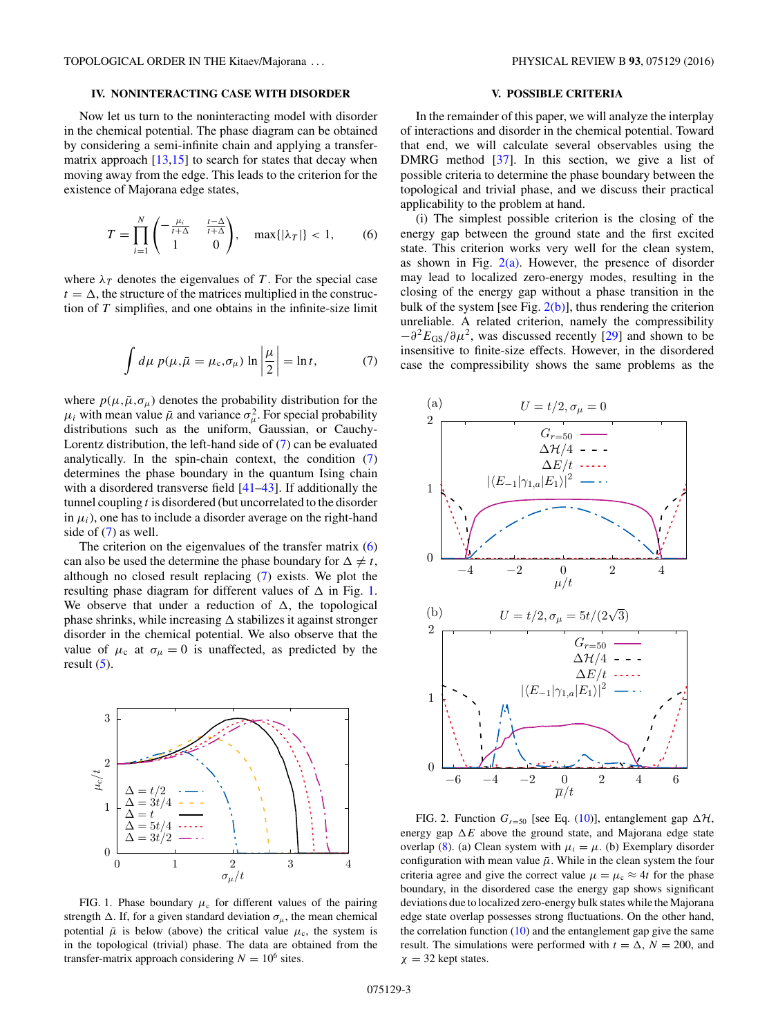# <span id="page-2-0"></span>**IV. NONINTERACTING CASE WITH DISORDER**

Now let us turn to the noninteracting model with disorder in the chemical potential. The phase diagram can be obtained by considering a semi-infinite chain and applying a transfermatrix approach  $[13,15]$  to search for states that decay when moving away from the edge. This leads to the criterion for the existence of Majorana edge states,

$$
T = \prod_{i=1}^{N} \begin{pmatrix} -\frac{\mu_i}{t+\Delta} & \frac{t-\Delta}{t+\Delta} \\ 1 & 0 \end{pmatrix}, \quad \max\{|\lambda_T|\} < 1,\tag{6}
$$

where  $\lambda_T$  denotes the eigenvalues of T. For the special case  $t = \Delta$ , the structure of the matrices multiplied in the construction of *T* simplifies, and one obtains in the infinite-size limit

$$
\int d\mu \, p(\mu, \bar{\mu} = \mu_c, \sigma_{\mu}) \ln \left| \frac{\mu}{2} \right| = \ln t, \tag{7}
$$

where  $p(\mu, \bar{\mu}, \sigma_{\mu})$  denotes the probability distribution for the  $\mu_i$  with mean value  $\bar{\mu}$  and variance  $\sigma_{\mu}^2$ . For special probability distributions such as the uniform, Gaussian, or Cauchy-Lorentz distribution, the left-hand side of (7) can be evaluated analytically. In the spin-chain context, the condition (7) determines the phase boundary in the quantum Ising chain with a disordered transverse field [\[41–43\]](#page-7-0). If additionally the tunnel coupling *t* is disordered (but uncorrelated to the disorder in  $\mu_i$ ), one has to include a disorder average on the right-hand side of (7) as well.

The criterion on the eigenvalues of the transfer matrix (6) can also be used the determine the phase boundary for  $\Delta \neq t$ , although no closed result replacing (7) exists. We plot the resulting phase diagram for different values of  $\Delta$  in Fig. 1. We observe that under a reduction of  $\Delta$ , the topological phase shrinks, while increasing  $\Delta$  stabilizes it against stronger disorder in the chemical potential. We also observe that the value of  $\mu_c$  at  $\sigma_{\mu} = 0$  is unaffected, as predicted by the result  $(5)$ .



FIG. 1. Phase boundary  $\mu_c$  for different values of the pairing strength  $\Delta$ . If, for a given standard deviation  $\sigma_{\mu}$ , the mean chemical potential  $\bar{\mu}$  is below (above) the critical value  $\mu_c$ , the system is in the topological (trivial) phase. The data are obtained from the transfer-matrix approach considering  $N = 10^6$  sites.

# **V. POSSIBLE CRITERIA**

In the remainder of this paper, we will analyze the interplay of interactions and disorder in the chemical potential. Toward that end, we will calculate several observables using the DMRG method [\[37\]](#page-7-0). In this section, we give a list of possible criteria to determine the phase boundary between the topological and trivial phase, and we discuss their practical applicability to the problem at hand.

(i) The simplest possible criterion is the closing of the energy gap between the ground state and the first excited state. This criterion works very well for the clean system, as shown in Fig.  $2(a)$ . However, the presence of disorder may lead to localized zero-energy modes, resulting in the closing of the energy gap without a phase transition in the bulk of the system [see Fig.  $2(b)$ ], thus rendering the criterion unreliable. A related criterion, namely the compressibility  $-\partial^2 E_{GS}/\partial \mu^2$ , was discussed recently [\[29\]](#page-7-0) and shown to be insensitive to finite-size effects. However, in the disordered case the compressibility shows the same problems as the



FIG. 2. Function  $G_{r=50}$  [see Eq. [\(10\)](#page-3-0)], entanglement gap  $\Delta \mathcal{H}$ , energy gap  $\Delta E$  above the ground state, and Majorana edge state overlap [\(8\)](#page-3-0). (a) Clean system with  $\mu_i = \mu$ . (b) Exemplary disorder configuration with mean value  $\bar{\mu}$ . While in the clean system the four criteria agree and give the correct value  $\mu = \mu_c \approx 4t$  for the phase boundary, in the disordered case the energy gap shows significant deviations due to localized zero-energy bulk states while the Majorana edge state overlap possesses strong fluctuations. On the other hand, the correlation function  $(10)$  and the entanglement gap give the same result. The simulations were performed with  $t = \Delta$ ,  $N = 200$ , and  $\chi = 32$  kept states.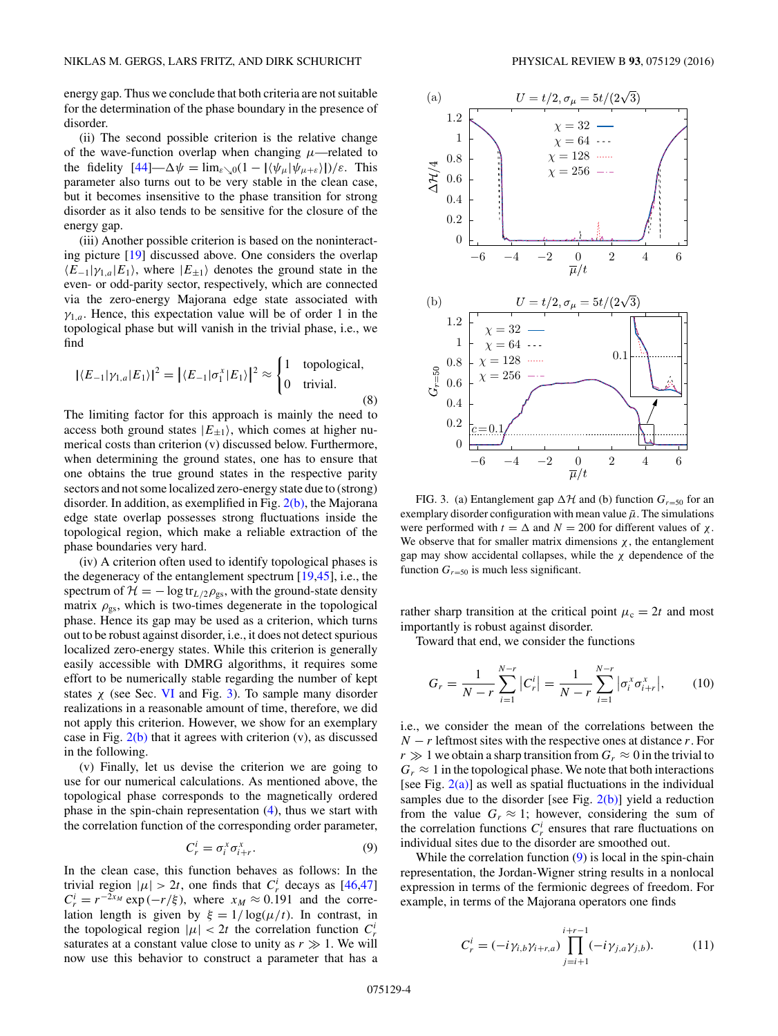<span id="page-3-0"></span>energy gap. Thus we conclude that both criteria are not suitable for the determination of the phase boundary in the presence of disorder.

(ii) The second possible criterion is the relative change of the wave-function overlap when changing  $\mu$ —related to the fidelity  $[44] - \Delta \psi = \lim_{\varepsilon \setminus 0} (1 - |\langle \psi_{\mu} | \psi_{\mu + \varepsilon} \rangle|)/\varepsilon$  $[44] - \Delta \psi = \lim_{\varepsilon \setminus 0} (1 - |\langle \psi_{\mu} | \psi_{\mu + \varepsilon} \rangle|)/\varepsilon$ . This parameter also turns out to be very stable in the clean case, but it becomes insensitive to the phase transition for strong disorder as it also tends to be sensitive for the closure of the energy gap.

(iii) Another possible criterion is based on the noninteracting picture [\[19\]](#page-7-0) discussed above. One considers the overlap  $\langle E_{-1}|\gamma_{1,a}|E_1\rangle$ , where  $|E_{\pm 1}\rangle$  denotes the ground state in the even- or odd-parity sector, respectively, which are connected via the zero-energy Majorana edge state associated with  $\gamma_{1,a}$ . Hence, this expectation value will be of order 1 in the topological phase but will vanish in the trivial phase, i.e., we find

$$
|\langle E_{-1}|\gamma_{1,a}|E_1\rangle|^2 = |\langle E_{-1}|\sigma_1^x|E_1\rangle|^2 \approx \begin{cases} 1 & \text{topological,} \\ 0 & \text{trivial.} \end{cases} \tag{8}
$$

The limiting factor for this approach is mainly the need to access both ground states  $|E_{\pm 1}\rangle$ , which comes at higher numerical costs than criterion (v) discussed below. Furthermore, when determining the ground states, one has to ensure that one obtains the true ground states in the respective parity sectors and not some localized zero-energy state due to (strong) disorder. In addition, as exemplified in Fig.  $2(b)$ , the Majorana edge state overlap possesses strong fluctuations inside the topological region, which make a reliable extraction of the phase boundaries very hard.

(iv) A criterion often used to identify topological phases is the degeneracy of the entanglement spectrum [\[19,45\]](#page-7-0), i.e., the spectrum of  $\mathcal{H} = -\log tr_{L/2} \rho_{gs}$ , with the ground-state density matrix  $\rho_{gs}$ , which is two-times degenerate in the topological phase. Hence its gap may be used as a criterion, which turns out to be robust against disorder, i.e., it does not detect spurious localized zero-energy states. While this criterion is generally easily accessible with DMRG algorithms, it requires some effort to be numerically stable regarding the number of kept states  $\chi$  (see Sec. [VI](#page-4-0) and Fig. 3). To sample many disorder realizations in a reasonable amount of time, therefore, we did not apply this criterion. However, we show for an exemplary case in Fig.  $2(b)$  that it agrees with criterion (v), as discussed in the following.

(v) Finally, let us devise the criterion we are going to use for our numerical calculations. As mentioned above, the topological phase corresponds to the magnetically ordered phase in the spin-chain representation [\(4\)](#page-1-0), thus we start with the correlation function of the corresponding order parameter,

$$
C_r^i = \sigma_i^x \sigma_{i+r}^x. \tag{9}
$$

In the clean case, this function behaves as follows: In the trivial region  $|\mu| > 2t$ , one finds that  $C_r^i$  decays as [\[46,47\]](#page-7-0)  $C_r^i = r^{-2x_M} \exp(-r/\xi)$ , where  $x_M \approx 0.191$  and the correlation length is given by  $\xi = 1/\log(\mu/t)$ . In contrast, in the topological region  $|\mu| < 2t$  the correlation function  $C_r^i$ saturates at a constant value close to unity as  $r \gg 1$ . We will now use this behavior to construct a parameter that has a



FIG. 3. (a) Entanglement gap  $\Delta H$  and (b) function  $G_{r=50}$  for an exemplary disorder configuration with mean value  $\bar{\mu}$ . The simulations were performed with  $t = \Delta$  and  $N = 200$  for different values of  $\chi$ . We observe that for smaller matrix dimensions  $\chi$ , the entanglement gap may show accidental collapses, while the *χ* dependence of the function  $G_{r=50}$  is much less significant.

rather sharp transition at the critical point  $\mu_c = 2t$  and most importantly is robust against disorder.

Toward that end, we consider the functions

$$
G_r = \frac{1}{N-r} \sum_{i=1}^{N-r} |C_r^i| = \frac{1}{N-r} \sum_{i=1}^{N-r} |\sigma_i^x \sigma_{i+r}^x|,
$$
 (10)

i.e., we consider the mean of the correlations between the  $N - r$  leftmost sites with the respective ones at distance *r*. For  $r \gg 1$  we obtain a sharp transition from  $G_r \approx 0$  in the trivial to  $G_r \approx 1$  in the topological phase. We note that both interactions [see Fig.  $2(a)$ ] as well as spatial fluctuations in the individual samples due to the disorder [see Fig.  $2(b)$ ] yield a reduction from the value  $G_r \approx 1$ ; however, considering the sum of the correlation functions  $C_r^i$  ensures that rare fluctuations on individual sites due to the disorder are smoothed out.

While the correlation function  $(9)$  is local in the spin-chain representation, the Jordan-Wigner string results in a nonlocal expression in terms of the fermionic degrees of freedom. For example, in terms of the Majorana operators one finds

$$
C_r^i = (-i\gamma_{i,b}\gamma_{i+r,a}) \prod_{j=i+1}^{i+r-1} (-i\gamma_{j,a}\gamma_{j,b}).
$$
 (11)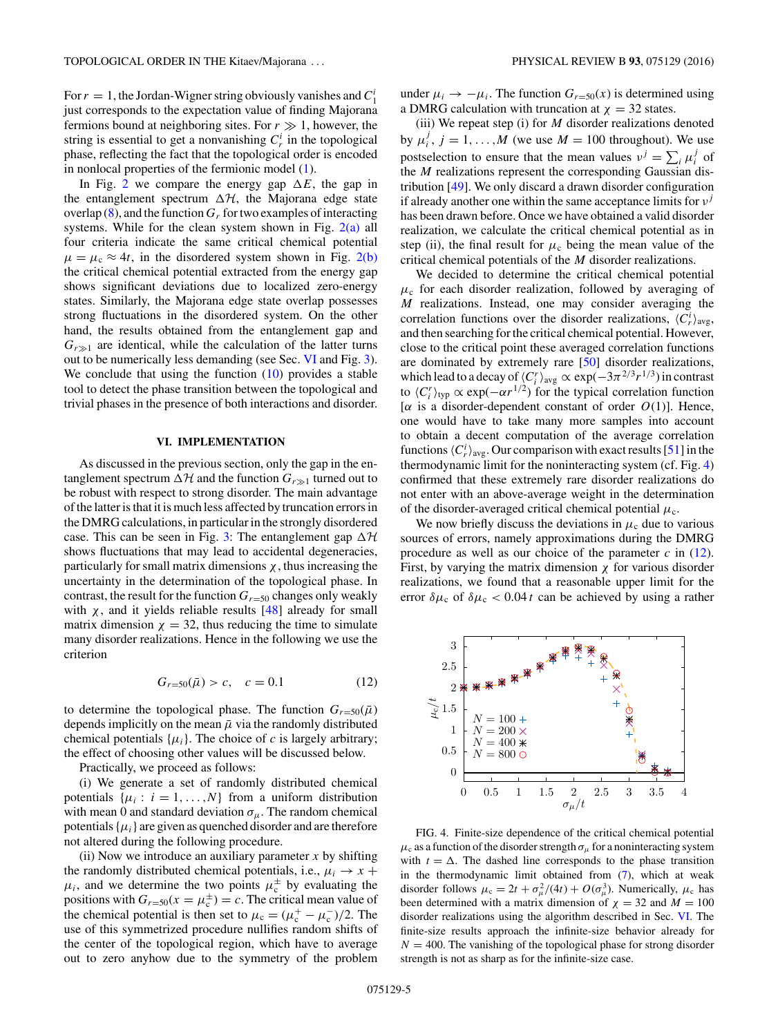<span id="page-4-0"></span>For  $r = 1$ , the Jordan-Wigner string obviously vanishes and  $C_1^i$ just corresponds to the expectation value of finding Majorana fermions bound at neighboring sites. For  $r \gg 1$ , however, the string is essential to get a nonvanishing  $C_r^i$  in the topological phase, reflecting the fact that the topological order is encoded in nonlocal properties of the fermionic model [\(1\)](#page-0-0).

In Fig. [2](#page-2-0) we compare the energy gap  $\Delta E$ , the gap in the entanglement spectrum  $\Delta \mathcal{H}$ , the Majorana edge state overlap  $(8)$ , and the function  $G_r$  for two examples of interacting systems. While for the clean system shown in Fig.  $2(a)$  all four criteria indicate the same critical chemical potential  $\mu = \mu_c \approx 4t$ , in the disordered system shown in Fig. [2\(b\)](#page-2-0) the critical chemical potential extracted from the energy gap shows significant deviations due to localized zero-energy states. Similarly, the Majorana edge state overlap possesses strong fluctuations in the disordered system. On the other hand, the results obtained from the entanglement gap and  $G_{r\gg 1}$  are identical, while the calculation of the latter turns out to be numerically less demanding (see Sec. VI and Fig. [3\)](#page-3-0). We conclude that using the function  $(10)$  provides a stable tool to detect the phase transition between the topological and trivial phases in the presence of both interactions and disorder.

#### **VI. IMPLEMENTATION**

As discussed in the previous section, only the gap in the entanglement spectrum  $\Delta \mathcal{H}$  and the function  $G_{r \gg 1}$  turned out to be robust with respect to strong disorder. The main advantage of the latter is that it is much less affected by truncation errors in the DMRG calculations, in particular in the strongly disordered case. This can be seen in Fig. [3:](#page-3-0) The entanglement gap  $\Delta H$ shows fluctuations that may lead to accidental degeneracies, particularly for small matrix dimensions  $\chi$ , thus increasing the uncertainty in the determination of the topological phase. In contrast, the result for the function  $G_{r=50}$  changes only weakly with  $\chi$ , and it yields reliable results  $[48]$  already for small matrix dimension  $\chi = 32$ , thus reducing the time to simulate many disorder realizations. Hence in the following we use the criterion

$$
G_{r=50}(\bar{\mu}) > c, \quad c = 0.1 \tag{12}
$$

to determine the topological phase. The function  $G_{r=50}(\bar{\mu})$ depends implicitly on the mean  $\bar{\mu}$  via the randomly distributed chemical potentials  $\{\mu_i\}$ . The choice of *c* is largely arbitrary; the effect of choosing other values will be discussed below.

Practically, we proceed as follows:

(i) We generate a set of randomly distributed chemical potentials  $\{\mu_i : i = 1, ..., N\}$  from a uniform distribution with mean 0 and standard deviation  $\sigma_{\mu}$ . The random chemical potentials  $\{\mu_i\}$  are given as quenched disorder and are therefore not altered during the following procedure.

(ii) Now we introduce an auxiliary parameter  $x$  by shifting the randomly distributed chemical potentials, i.e.,  $\mu_i \rightarrow x +$  $\mu_i$ , and we determine the two points  $\mu_c^{\pm}$  by evaluating the positions with  $G_{r=50}(x = \mu_c^{\pm}) = c$ . The critical mean value of the chemical potential is then set to  $\mu_c = (\mu_c^+ - \mu_c^-)/2$ . The use of this symmetrized procedure nullifies random shifts of the center of the topological region, which have to average out to zero anyhow due to the symmetry of the problem under  $\mu_i \rightarrow -\mu_i$ . The function  $G_{r=50}(x)$  is determined using a DMRG calculation with truncation at  $\chi = 32$  states.

(iii) We repeat step (i) for *M* disorder realizations denoted by  $\mu_i^j$ ,  $j = 1, ..., M$  (we use  $M = 100$  throughout). We use postselection to ensure that the mean values  $v^j = \sum_i \mu_i^j$  of the *M* realizations represent the corresponding Gaussian distribution [\[49\]](#page-7-0). We only discard a drawn disorder configuration if already another one within the same acceptance limits for *ν<sup>j</sup>* has been drawn before. Once we have obtained a valid disorder realization, we calculate the critical chemical potential as in step (ii), the final result for  $\mu_c$  being the mean value of the critical chemical potentials of the *M* disorder realizations.

We decided to determine the critical chemical potential  $\mu_c$  for each disorder realization, followed by averaging of *M* realizations. Instead, one may consider averaging the correlation functions over the disorder realizations,  $\langle C_r^i \rangle_{\text{avg}}$ , and then searching for the critical chemical potential. However, close to the critical point these averaged correlation functions are dominated by extremely rare [\[50\]](#page-7-0) disorder realizations, which lead to a decay of  $\langle C_i^r \rangle_{\text{avg}} \propto \exp(-3\pi^{2/3} r^{1/3})$  in contrast to  $\langle C_i^r \rangle$ <sub>typ</sub>  $\propto$  exp( $-\alpha r^{1/2}$ ) for the typical correlation function [ $\alpha$  is a disorder-dependent constant of order  $O(1)$ ]. Hence, one would have to take many more samples into account to obtain a decent computation of the average correlation functions  $\langle C_r^i \rangle_{\text{avg}}$ . Our comparison with exact results [\[51\]](#page-7-0) in the thermodynamic limit for the noninteracting system (cf. Fig. 4) confirmed that these extremely rare disorder realizations do not enter with an above-average weight in the determination of the disorder-averaged critical chemical potential  $\mu_c$ .

We now briefly discuss the deviations in  $\mu_c$  due to various sources of errors, namely approximations during the DMRG procedure as well as our choice of the parameter  $c$  in  $(12)$ . First, by varying the matrix dimension  $\chi$  for various disorder realizations, we found that a reasonable upper limit for the error  $\delta \mu_c$  of  $\delta \mu_c < 0.04 t$  can be achieved by using a rather



FIG. 4. Finite-size dependence of the critical chemical potential  $\mu_c$  as a function of the disorder strength  $\sigma_\mu$  for a noninteracting system with  $t = \Delta$ . The dashed line corresponds to the phase transition in the thermodynamic limit obtained from [\(7\)](#page-2-0), which at weak disorder follows  $\mu_c = 2t + \sigma_\mu^2/(4t) + O(\sigma_\mu^3)$ . Numerically,  $\mu_c$  has been determined with a matrix dimension of  $\chi = 32$  and  $M = 100$ disorder realizations using the algorithm described in Sec. VI. The finite-size results approach the infinite-size behavior already for  $N = 400$ . The vanishing of the topological phase for strong disorder strength is not as sharp as for the infinite-size case.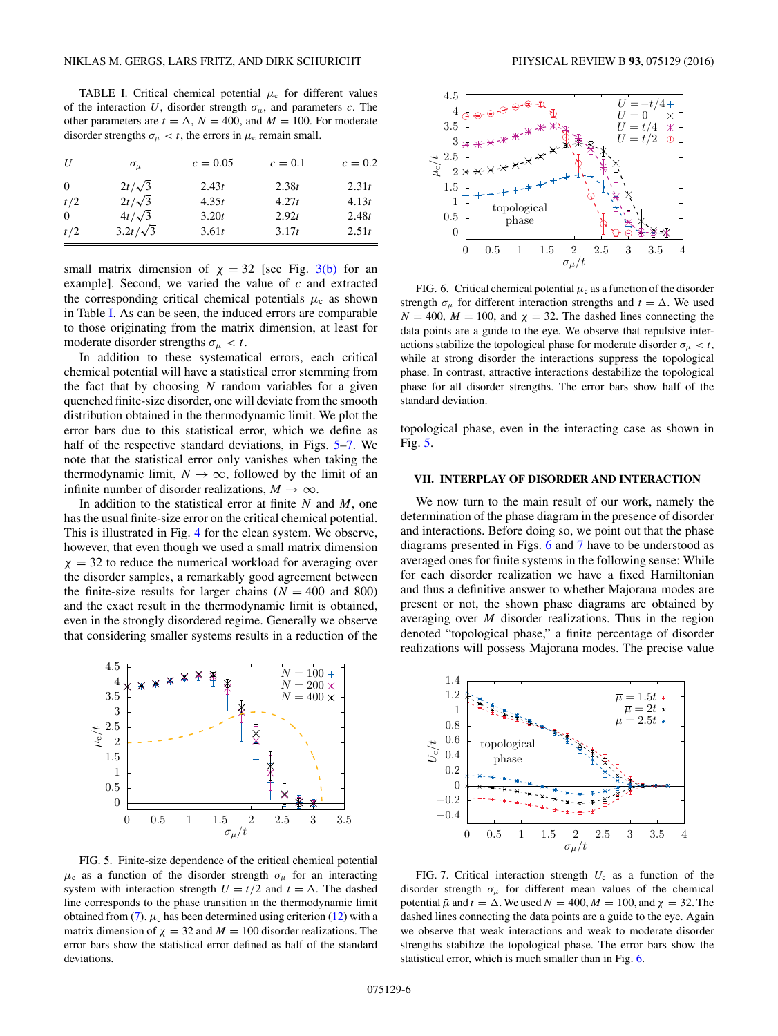<span id="page-5-0"></span>TABLE I. Critical chemical potential  $\mu_c$  for different values of the interaction *U*, disorder strength  $\sigma_{\mu}$ , and parameters *c*. The other parameters are  $t = \Delta$ ,  $N = 400$ , and  $M = 100$ . For moderate disorder strengths  $\sigma_{\mu} < t$ , the errors in  $\mu_c$  remain small.

| U              | $\sigma_{\mu}$  | $c = 0.05$ | $c=0.1$ | $c=0.2$ |
|----------------|-----------------|------------|---------|---------|
| $\overline{0}$ | $2t/\sqrt{3}$   | 2.43t      | 2.38t   | 2.31t   |
| t/2            | $2t/\sqrt{3}$   | 4.35t      | 4.27t   | 4.13t   |
| $\overline{0}$ | $4t/\sqrt{3}$   | 3.20t      | 2.92t   | 2.48t   |
| t/2            | $3.2t/\sqrt{3}$ | 3.61t      | 3.17t   | 2.51t   |

small matrix dimension of  $\chi = 32$  [see Fig. [3\(b\)](#page-3-0) for an example]. Second, we varied the value of *c* and extracted the corresponding critical chemical potentials  $\mu_c$  as shown in Table I. As can be seen, the induced errors are comparable to those originating from the matrix dimension, at least for moderate disorder strengths  $\sigma_{\mu} < t$ .

In addition to these systematical errors, each critical chemical potential will have a statistical error stemming from the fact that by choosing *N* random variables for a given quenched finite-size disorder, one will deviate from the smooth distribution obtained in the thermodynamic limit. We plot the error bars due to this statistical error, which we define as half of the respective standard deviations, in Figs. 5–7. We note that the statistical error only vanishes when taking the thermodynamic limit,  $N \to \infty$ , followed by the limit of an infinite number of disorder realizations,  $M \to \infty$ .

In addition to the statistical error at finite *N* and *M*, one has the usual finite-size error on the critical chemical potential. This is illustrated in Fig. [4](#page-4-0) for the clean system. We observe, however, that even though we used a small matrix dimension  $\chi$  = 32 to reduce the numerical workload for averaging over the disorder samples, a remarkably good agreement between the finite-size results for larger chains  $(N = 400$  and 800) and the exact result in the thermodynamic limit is obtained, even in the strongly disordered regime. Generally we observe that considering smaller systems results in a reduction of the



FIG. 5. Finite-size dependence of the critical chemical potential  $\mu_c$  as a function of the disorder strength  $\sigma_\mu$  for an interacting system with interaction strength  $U = t/2$  and  $t = \Delta$ . The dashed line corresponds to the phase transition in the thermodynamic limit obtained from [\(7\)](#page-2-0).  $\mu_c$  has been determined using criterion [\(12\)](#page-4-0) with a matrix dimension of  $\chi = 32$  and  $M = 100$  disorder realizations. The error bars show the statistical error defined as half of the standard deviations.



FIG. 6. Critical chemical potential  $\mu_c$  as a function of the disorder strength  $\sigma_{\mu}$  for different interaction strengths and  $t = \Delta$ . We used  $N = 400$ ,  $M = 100$ , and  $\chi = 32$ . The dashed lines connecting the data points are a guide to the eye. We observe that repulsive interactions stabilize the topological phase for moderate disorder  $\sigma_u < t$ , while at strong disorder the interactions suppress the topological phase. In contrast, attractive interactions destabilize the topological phase for all disorder strengths. The error bars show half of the standard deviation.

topological phase, even in the interacting case as shown in Fig. 5.

## **VII. INTERPLAY OF DISORDER AND INTERACTION**

We now turn to the main result of our work, namely the determination of the phase diagram in the presence of disorder and interactions. Before doing so, we point out that the phase diagrams presented in Figs. 6 and 7 have to be understood as averaged ones for finite systems in the following sense: While for each disorder realization we have a fixed Hamiltonian and thus a definitive answer to whether Majorana modes are present or not, the shown phase diagrams are obtained by averaging over *M* disorder realizations. Thus in the region denoted "topological phase," a finite percentage of disorder realizations will possess Majorana modes. The precise value



FIG. 7. Critical interaction strength  $U_c$  as a function of the disorder strength  $\sigma_{\mu}$  for different mean values of the chemical potential  $\bar{\mu}$  and  $t = \Delta$ . We used  $N = 400$ ,  $M = 100$ , and  $\chi = 32$ . The dashed lines connecting the data points are a guide to the eye. Again we observe that weak interactions and weak to moderate disorder strengths stabilize the topological phase. The error bars show the statistical error, which is much smaller than in Fig. 6.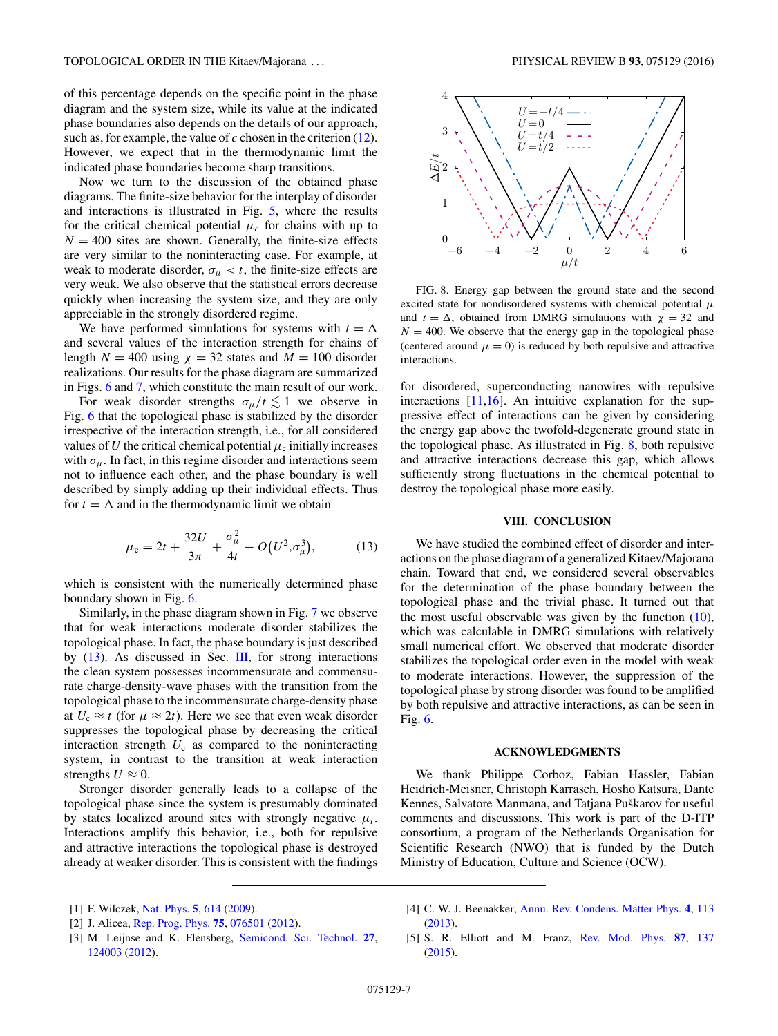<span id="page-6-0"></span>of this percentage depends on the specific point in the phase diagram and the system size, while its value at the indicated phase boundaries also depends on the details of our approach, such as, for example, the value of *c* chosen in the criterion [\(12\)](#page-4-0). However, we expect that in the thermodynamic limit the indicated phase boundaries become sharp transitions.

Now we turn to the discussion of the obtained phase diagrams. The finite-size behavior for the interplay of disorder and interactions is illustrated in Fig. [5,](#page-5-0) where the results for the critical chemical potential  $\mu_c$  for chains with up to  $N = 400$  sites are shown. Generally, the finite-size effects are very similar to the noninteracting case. For example, at weak to moderate disorder,  $\sigma_{\mu} < t$ , the finite-size effects are very weak. We also observe that the statistical errors decrease quickly when increasing the system size, and they are only appreciable in the strongly disordered regime.

We have performed simulations for systems with  $t = \Delta$ and several values of the interaction strength for chains of length  $N = 400$  using  $\chi = 32$  states and  $M = 100$  disorder realizations. Our results for the phase diagram are summarized in Figs. [6](#page-5-0) and [7,](#page-5-0) which constitute the main result of our work.

For weak disorder strengths  $\sigma_{\mu}/t \lesssim 1$  we observe in Fig. [6](#page-5-0) that the topological phase is stabilized by the disorder irrespective of the interaction strength, i.e., for all considered values of *U* the critical chemical potential  $\mu_c$  initially increases with  $\sigma_{\mu}$ . In fact, in this regime disorder and interactions seem not to influence each other, and the phase boundary is well described by simply adding up their individual effects. Thus for  $t = \Delta$  and in the thermodynamic limit we obtain

$$
\mu_{\rm c} = 2t + \frac{32U}{3\pi} + \frac{\sigma_{\mu}^2}{4t} + O(U^2, \sigma_{\mu}^3),\tag{13}
$$

which is consistent with the numerically determined phase boundary shown in Fig. [6.](#page-5-0)

Similarly, in the phase diagram shown in Fig. [7](#page-5-0) we observe that for weak interactions moderate disorder stabilizes the topological phase. In fact, the phase boundary is just described by (13). As discussed in Sec. [III,](#page-1-0) for strong interactions the clean system possesses incommensurate and commensurate charge-density-wave phases with the transition from the topological phase to the incommensurate charge-density phase at  $U_c \approx t$  (for  $\mu \approx 2t$ ). Here we see that even weak disorder suppresses the topological phase by decreasing the critical interaction strength  $U_c$  as compared to the noninteracting system, in contrast to the transition at weak interaction strengths  $U \approx 0$ .

Stronger disorder generally leads to a collapse of the topological phase since the system is presumably dominated by states localized around sites with strongly negative  $\mu_i$ . Interactions amplify this behavior, i.e., both for repulsive and attractive interactions the topological phase is destroyed already at weaker disorder. This is consistent with the findings



FIG. 8. Energy gap between the ground state and the second excited state for nondisordered systems with chemical potential *μ* and  $t = \Delta$ , obtained from DMRG simulations with  $\chi = 32$  and  $N = 400$ . We observe that the energy gap in the topological phase (centered around  $\mu = 0$ ) is reduced by both repulsive and attractive interactions.

for disordered, superconducting nanowires with repulsive interactions  $[11,16]$ . An intuitive explanation for the suppressive effect of interactions can be given by considering the energy gap above the twofold-degenerate ground state in the topological phase. As illustrated in Fig. 8, both repulsive and attractive interactions decrease this gap, which allows sufficiently strong fluctuations in the chemical potential to destroy the topological phase more easily.

## **VIII. CONCLUSION**

We have studied the combined effect of disorder and interactions on the phase diagram of a generalized Kitaev/Majorana chain. Toward that end, we considered several observables for the determination of the phase boundary between the topological phase and the trivial phase. It turned out that the most useful observable was given by the function  $(10)$ , which was calculable in DMRG simulations with relatively small numerical effort. We observed that moderate disorder stabilizes the topological order even in the model with weak to moderate interactions. However, the suppression of the topological phase by strong disorder was found to be amplified by both repulsive and attractive interactions, as can be seen in Fig. [6.](#page-5-0)

#### **ACKNOWLEDGMENTS**

We thank Philippe Corboz, Fabian Hassler, Fabian Heidrich-Meisner, Christoph Karrasch, Hosho Katsura, Dante Kennes, Salvatore Manmana, and Tatjana Puškarov for useful comments and discussions. This work is part of the D-ITP consortium, a program of the Netherlands Organisation for Scientific Research (NWO) that is funded by the Dutch Ministry of Education, Culture and Science (OCW).

[2] J. Alicea, [Rep. Prog. Phys.](http://dx.doi.org/10.1088/0034-4885/75/7/076501) **[75](http://dx.doi.org/10.1088/0034-4885/75/7/076501)**, [076501](http://dx.doi.org/10.1088/0034-4885/75/7/076501) [\(2012\)](http://dx.doi.org/10.1088/0034-4885/75/7/076501).

[4] C. W. J. Beenakker, [Annu. Rev. Condens. Matter Phys.](http://dx.doi.org/10.1146/annurev-conmatphys-030212-184337) **[4](http://dx.doi.org/10.1146/annurev-conmatphys-030212-184337)**, [113](http://dx.doi.org/10.1146/annurev-conmatphys-030212-184337) [\(2013\)](http://dx.doi.org/10.1146/annurev-conmatphys-030212-184337).

[5] S. R. Elliott and M. Franz, [Rev. Mod. Phys.](http://dx.doi.org/10.1103/RevModPhys.87.137) **[87](http://dx.doi.org/10.1103/RevModPhys.87.137)**, [137](http://dx.doi.org/10.1103/RevModPhys.87.137) [\(2015\)](http://dx.doi.org/10.1103/RevModPhys.87.137).

<sup>[1]</sup> F. Wilczek, [Nat. Phys.](http://dx.doi.org/10.1038/nphys1380) **[5](http://dx.doi.org/10.1038/nphys1380)**, [614](http://dx.doi.org/10.1038/nphys1380) [\(2009\)](http://dx.doi.org/10.1038/nphys1380).

<sup>[3]</sup> M. Leijnse and K. Flensberg, [Semicond. Sci. Technol.](http://dx.doi.org/10.1088/0268-1242/27/12/124003) **[27](http://dx.doi.org/10.1088/0268-1242/27/12/124003)**, [124003](http://dx.doi.org/10.1088/0268-1242/27/12/124003) [\(2012\)](http://dx.doi.org/10.1088/0268-1242/27/12/124003).